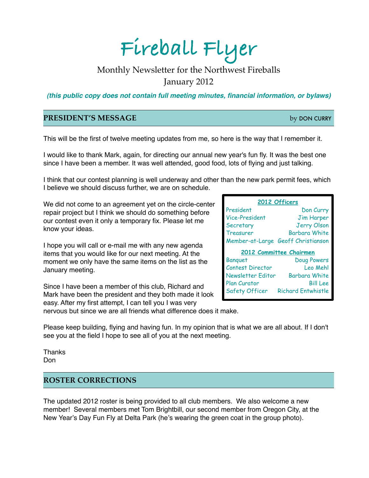# **Fireball Flyer**

## Monthly Newsletter for the Northwest Fireballs January 2012

*(this public copy does not contain full meeting minutes, financial information, or bylaws)*

#### **PRESIDENT'S MESSAGE** by DON CURRY

This will be the first of twelve meeting updates from me, so here is the way that I remember it.

I would like to thank Mark, again, for directing our annual new year's fun fly. It was the best one since I have been a member. It was well attended, good food, lots of flying and just talking.

I think that our contest planning is well underway and other than the new park permit fees, which I believe we should discuss further, we are on schedule.

We did not come to an agreement yet on the circle-center repair project but I think we should do something before our contest even it only a temporary fix. Please let me know your ideas.

I hope you will call or e-mail me with any new agenda items that you would like for our next meeting. At the moment we only have the same items on the list as the January meeting.

Since I have been a member of this club, Richard and Mark have been the president and they both made it look easy. After my first attempt, I can tell you I was very

| 2012 Officers           |                                    |
|-------------------------|------------------------------------|
| President               | Don Curry                          |
| Vice-President          | <b>Jim Harper</b>                  |
| Secretary               | <b>Jerry Olson</b>                 |
| Treasurer               | <b>Barbara White</b>               |
|                         | Member-at-Large Geoff Christianson |
|                         |                                    |
|                         | 2012 Committee Chairmen            |
| <b>Banquet</b>          | Doug Powers                        |
| <b>Contest Director</b> | Leo Mehl                           |
| Newsletter Editor       | <b>Barbara White</b>               |
| Plan Curator            | <b>Bill Lee</b>                    |

nervous but since we are all friends what difference does it make.

Please keep building, flying and having fun. In my opinion that is what we are all about. If I don't see you at the field I hope to see all of you at the next meeting.

Thanks Don

#### **ROSTER CORRECTIONS**

The updated 2012 roster is being provided to all club members. We also welcome a new member! Several members met Tom Brightbill, our second member from Oregon City, at the New Year's Day Fun Fly at Delta Park (he's wearing the green coat in the group photo).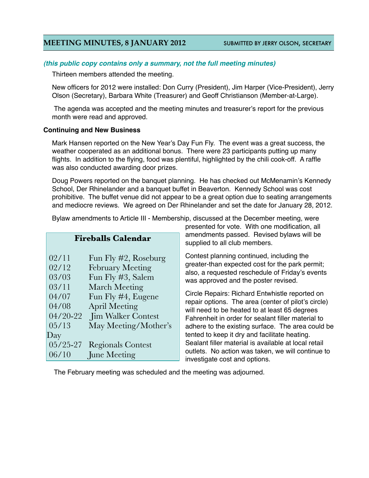### **MEETING MINUTES, 8 JANUARY 2012** SUBMITTED BY JERRY OLSON, SECRETARY

#### *(this public copy contains only a summary, not the full meeting minutes)*

Thirteen members attended the meeting.

New officers for 2012 were installed: Don Curry (President), Jim Harper (Vice-President), Jerry Olson (Secretary), Barbara White (Treasurer) and Geoff Christianson (Member-at-Large).

The agenda was accepted and the meeting minutes and treasurer's report for the previous month were read and approved.

#### **Continuing and New Business**

Mark Hansen reported on the New Year's Day Fun Fly. The event was a great success, the weather cooperated as an additional bonus. There were 23 participants putting up many flights. In addition to the flying, food was plentiful, highlighted by the chili cook-off. A raffle was also conducted awarding door prizes.

Doug Powers reported on the banquet planning. He has checked out McMenamin's Kennedy School, Der Rhinelander and a banquet buffet in Beaverton. Kennedy School was cost prohibitive. The buffet venue did not appear to be a great option due to seating arrangements and mediocre reviews. We agreed on Der Rhinelander and set the date for January 28, 2012.

Bylaw amendments to Article III - Membership, discussed at the December meeting, were

| <b>Fireballs Calendar</b> |                          |
|---------------------------|--------------------------|
|                           |                          |
| 02/11                     | Fun Fly #2, Roseburg     |
| 02/12                     | <b>February Meeting</b>  |
| 03/03                     | Fun Fly #3, Salem        |
| 03/11                     | <b>March Meeting</b>     |
| 04/07                     | Fun Fly #4, Eugene       |
| 04/08                     | <b>April Meeting</b>     |
| 04/20-22                  | Jim Walker Contest       |
| 05/13                     | May Meeting/Mother's     |
| Day                       |                          |
| $05/25 - 27$              | <b>Regionals Contest</b> |
| 06/10                     | June Meeting             |

presented for vote. With one modification, all amendments passed. Revised bylaws will be supplied to all club members.

Contest planning continued, including the greater-than expected cost for the park permit; also, a requested reschedule of Friday's events was approved and the poster revised.

Circle Repairs: Richard Entwhistle reported on repair options. The area (center of pilot's circle) will need to be heated to at least 65 degrees Fahrenheit in order for sealant filler material to adhere to the existing surface. The area could be tented to keep it dry and facilitate heating. Sealant filler material is available at local retail outlets. No action was taken, we will continue to investigate cost and options.

The February meeting was scheduled and the meeting was adjourned.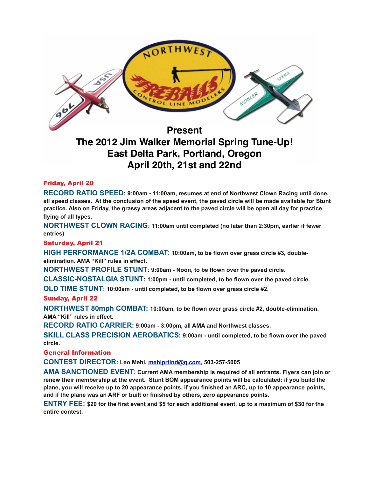

**The 2012 Jim Walker Memorial Spring Tune-Up! East Delta Park, Portland, Oregon April 20th, 21st and 22nd**

#### Friday, April 20

**RECORD RATIO SPEED: 9:00am - 11:00am, resumes at end of Northwest Clown Racing until done, all speed classes. At the conclusion of the speed event, the paved circle will be made available for Stunt practice. Also on Friday, the grassy areas adjacent to the paved circle will be open all day for practice flying of all types.** 

**NORTHWEST CLOWN RACING: 11:00am until completed (no later than 2:30pm, earlier if fewer entries)** 

#### Saturday, April 21

**HIGH PERFORMANCE 1/2A COMBAT: 10:00am, to be flown over grass circle #3, doubleelimination. AMA "Kill" rules in effect.**

**NORTHWEST PROFILE STUNT: 9:00am - Noon, to be flown over the paved circle.** 

**CLASSIC-NOSTALGIA STUNT: 1:00pm - until completed, to be flown over the paved circle.** 

**OLD TIME STUNT: 10:00am - until completed, to be flown over grass circle #2.**

#### Sunday, April 22

**NORTHWEST 80mph COMBAT: 10:00am, to be flown over grass circle #2, double-elimination. AMA "Kill" rules in effect.**

**RECORD RATIO CARRIER: 9:00am - 3:00pm, all AMA and Northwest classes.** 

**SKILL CLASS PRECISION AEROBATICS: 9:00am - until completed, to be flown over the paved circle.**

General Information

**CONTEST DIRECTOR: Leo Mehl, [mehlprtlnd@q.com](mailto:mehlprtlnd@q.com), 503-257-5005** 

**AMA SANCTIONED EVENT: Current AMA membership is required of all entrants. Flyers can join or renew their membership at the event. Stunt BOM appearance points will be calculated: if you build the plane, you will receive up to 20 appearance points, if you finished an ARC, up to 10 appearance points, and if the plane was an ARF or built or finished by others, zero appearance points.**

**ENTRY FEE: \$20 for the first event and \$5 for each additional event, up to a maximum of \$30 for the entire contest.**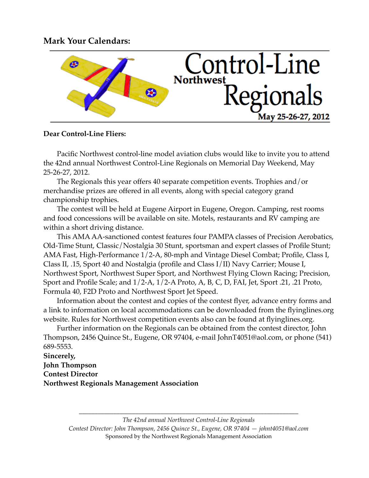## **Mark Your Calendars:**



#### **Dear Control-Line Fliers:**

Pacific Northwest control-line model aviation clubs would like to invite you to attend the 42nd annual Northwest Control-Line Regionals on Memorial Day Weekend, May 25-26-27, 2012.

The Regionals this year offers 40 separate competition events. Trophies and/or merchandise prizes are offered in all events, along with special category grand championship trophies.

The contest will be held at Eugene Airport in Eugene, Oregon. Camping, rest rooms and food concessions will be available on site. Motels, restaurants and RV camping are within a short driving distance.

This AMA AA-sanctioned contest features four PAMPA classes of Precision Aerobatics, Old-Time Stunt, Classic/Nostalgia 30 Stunt, sportsman and expert classes of Profile Stunt; AMA Fast, High-Performance 1/2-A, 80-mph and Vintage Diesel Combat; Profile, Class I, Class II, .15, Sport 40 and Nostalgia (profile and Class I/II) Navy Carrier; Mouse I, Northwest Sport, Northwest Super Sport, and Northwest Flying Clown Racing; Precision, Sport and Profile Scale; and 1/2-A, 1/2-A Proto, A, B, C, D, FAI, Jet, Sport .21, .21 Proto, Formula 40, F2D Proto and Northwest Sport Jet Speed.

Information about the contest and copies of the contest flyer, advance entry forms and a link to information on local accommodations can be downloaded from the flyinglines.org website. Rules for Northwest competition events also can be found at flyinglines.org.

Further information on the Regionals can be obtained from the contest director, John Thompson, 2456 Quince St., Eugene, OR 97404, e-mail JohnT4051@aol.com, or phone (541) 689-5553.

**Sincerely, John Thompson Contest Director Northwest Regionals Management Association**

> *The 42nd annual Northwest Control-Line Regionals Contest Director: John Thompson, 2456 Quince St., Eugene, OR 97404 — johnt4051@aol.com* Sponsored by the Northwest Regionals Management Association

*\_\_\_\_\_\_\_\_\_\_\_\_\_\_\_\_\_\_\_\_\_\_\_\_\_\_\_\_\_\_\_\_\_\_\_\_\_\_\_\_\_\_\_\_\_\_\_\_\_\_\_\_\_\_\_\_\_\_\_\_\_\_\_\_\_\_\_\_\_\_*